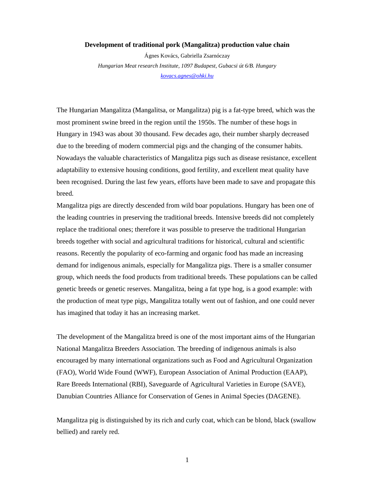## **Development of traditional pork (Mangalitza) production value chain**

Ágnes Kovács, Gabriella Zsarnóczay *Hungarian Meat research Institute, 1097 Budapest, Gubacsi út 6/B. Hungary kovacs.agnes@ohki.hu* 

The Hungarian Mangalitza (Mangalitsa, or Mangalitza) pig is a fat-type breed, which was the most prominent swine breed in the region until the 1950s. The number of these hogs in Hungary in 1943 was about 30 thousand. Few decades ago, their number sharply decreased due to the breeding of modern commercial pigs and the changing of the consumer habits. Nowadays the valuable characteristics of Mangalitza pigs such as disease resistance, excellent adaptability to extensive housing conditions, good fertility, and excellent meat quality have been recognised. During the last few years, efforts have been made to save and propagate this breed.

Mangalitza pigs are directly descended from wild boar populations. Hungary has been one of the leading countries in preserving the traditional breeds. Intensive breeds did not completely replace the traditional ones; therefore it was possible to preserve the traditional Hungarian breeds together with social and agricultural traditions for historical, cultural and scientific reasons. Recently the popularity of eco-farming and organic food has made an increasing demand for indigenous animals, especially for Mangalitza pigs. There is a smaller consumer group, which needs the food products from traditional breeds. These populations can be called genetic breeds or genetic reserves. Mangalitza, being a fat type hog, is a good example: with the production of meat type pigs, Mangalitza totally went out of fashion, and one could never has imagined that today it has an increasing market.

The development of the Mangalitza breed is one of the most important aims of the Hungarian National Mangalitza Breeders Association. The breeding of indigenous animals is also encouraged by many international organizations such as Food and Agricultural Organization (FAO), World Wide Found (WWF), European Association of Animal Production (EAAP), Rare Breeds International (RBI), Saveguarde of Agricultural Varieties in Europe (SAVE), Danubian Countries Alliance for Conservation of Genes in Animal Species (DAGENE).

Mangalitza pig is distinguished by its rich and curly coat, which can be blond, black (swallow bellied) and rarely red.

1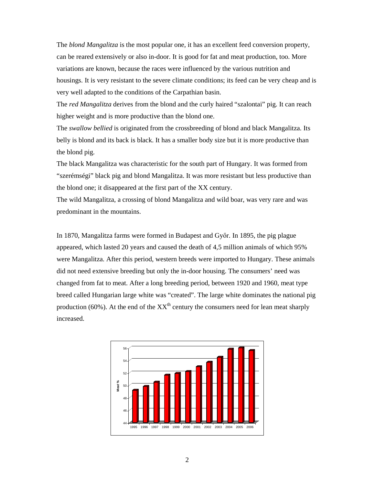The *blond Mangalitza* is the most popular one, it has an excellent feed conversion property, can be reared extensively or also in-door. It is good for fat and meat production, too. More variations are known, because the races were influenced by the various nutrition and housings. It is very resistant to the severe climate conditions; its feed can be very cheap and is very well adapted to the conditions of the Carpathian basin.

The *red Mangalitza* derives from the blond and the curly haired "szalontai" pig. It can reach higher weight and is more productive than the blond one.

The *swallow bellied* is originated from the crossbreeding of blond and black Mangalitza. Its belly is blond and its back is black. It has a smaller body size but it is more productive than the blond pig.

The black Mangalitza was characteristic for the south part of Hungary. It was formed from "szerémségi" black pig and blond Mangalitza. It was more resistant but less productive than the blond one; it disappeared at the first part of the XX century.

The wild Mangalitza, a crossing of blond Mangalitza and wild boar, was very rare and was predominant in the mountains.

In 1870, Mangalitza farms were formed in Budapest and Győr. In 1895, the pig plague appeared, which lasted 20 years and caused the death of 4,5 million animals of which 95% were Mangalitza. After this period, western breeds were imported to Hungary. These animals did not need extensive breeding but only the in-door housing. The consumers' need was changed from fat to meat. After a long breeding period, between 1920 and 1960, meat type breed called Hungarian large white was "created". The large white dominates the national pig production (60%). At the end of the  $XX<sup>th</sup>$  century the consumers need for lean meat sharply increased.

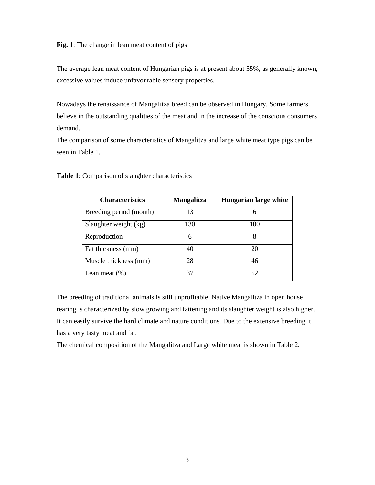**Fig. 1**: The change in lean meat content of pigs

The average lean meat content of Hungarian pigs is at present about 55%, as generally known, excessive values induce unfavourable sensory properties.

Nowadays the renaissance of Mangalitza breed can be observed in Hungary. Some farmers believe in the outstanding qualities of the meat and in the increase of the conscious consumers demand.

The comparison of some characteristics of Mangalitza and large white meat type pigs can be seen in Table 1.

| <b>Characteristics</b>  | <b>Mangalitza</b> | Hungarian large white |
|-------------------------|-------------------|-----------------------|
| Breeding period (month) | 13                | 6                     |
| Slaughter weight (kg)   | 130               | 100                   |
| Reproduction            | 6                 | 8                     |
| Fat thickness (mm)      | 40                | 20                    |
| Muscle thickness (mm)   | 28                | 46                    |
| Lean meat $(\%)$        | 37                | 52                    |

**Table 1**: Comparison of slaughter characteristics

The breeding of traditional animals is still unprofitable. Native Mangalitza in open house rearing is characterized by slow growing and fattening and its slaughter weight is also higher. It can easily survive the hard climate and nature conditions. Due to the extensive breeding it has a very tasty meat and fat.

The chemical composition of the Mangalitza and Large white meat is shown in Table 2.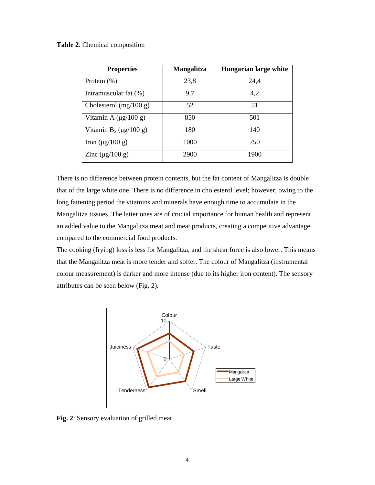**Table 2**: Chemical composition

| <b>Properties</b>              | <b>Mangalitza</b> | Hungarian large white |
|--------------------------------|-------------------|-----------------------|
| Protein $(\%)$                 | 23,8              | 24,4                  |
| Intramuscular fat (%)          | 9,7               | 4,2                   |
| Cholesterol $(mg/100 g)$       | 52                | 51                    |
| Vitamin A $(\mu g/100 g)$      | 850               | 501                   |
| Vitamin $B_2$ ( $\mu$ g/100 g) | 180               | 140                   |
| Iron $(\mu g/100 g)$           | 1000              | 750                   |
| Zinc $(\mu$ g/100 g)           | 2900              | 1900                  |

There is no difference between protein contents, but the fat content of Mangalitza is double that of the large white one. There is no difference in cholesterol level; however, owing to the long fattening period the vitamins and minerals have enough time to accumulate in the Mangalitza tissues. The latter ones are of crucial importance for human health and represent an added value to the Mangalitza meat and meat products, creating a competitive advantage compared to the commercial food products.

The cooking (frying) loss is less for Mangalitza, and the shear force is also lower. This means that the Mangalitza meat is more tender and softer. The colour of Mangalitza (instrumental colour measurement) is darker and more intense (due to its higher iron content). The sensory attributes can be seen below (Fig. 2).



**Fig. 2**: Sensory evaluation of grilled meat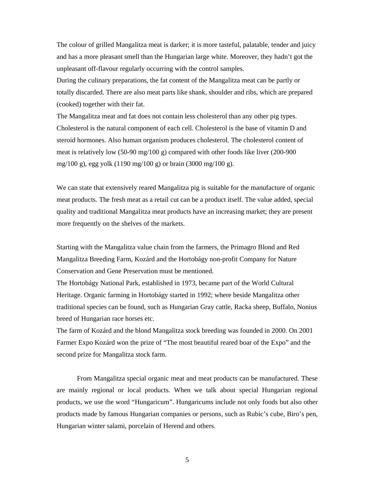The colour of grilled Mangalitza meat is darker; it is more tasteful, palatable, tender and juicy and has a more pleasant smell than the Hungarian large white. Moreover, they hadn't got the unpleasant off-flavour regularly occurring with the control samples.

During the culinary preparations, the fat content of the Mangalitza meat can be partly or totally discarded. There are also meat parts like shank, shoulder and ribs, which are prepared (cooked) together with their fat.

The Mangalitza meat and fat does not contain less cholesterol than any other pig types. Cholesterol is the natural component of each cell. Cholesterol is the base of vitamin D and steroid hormones. Also human organism produces cholesterol. The cholesterol content of meat is relatively low (50-90 mg/100 g) compared with other foods like liver (200-900 mg/100 g), egg yolk (1190 mg/100 g) or brain (3000 mg/100 g).

We can state that extensively reared Mangalitza pig is suitable for the manufacture of organic meat products. The fresh meat as a retail cut can be a product itself. The value added, special quality and traditional Mangalitza meat products have an increasing market; they are present more frequently on the shelves of the markets.

Starting with the Mangalitza value chain from the farmers, the Primagro Blond and Red Mangalitza Breeding Farm, Kozárd and the Hortobágy non-profit Company for Nature Conservation and Gene Preservation must be mentioned.

The Hortobágy National Park, established in 1973, became part of the World Cultural Heritage. Organic farming in Hortobágy started in 1992; where beside Mangalitza other traditional species can be found, such as Hungarian Gray cattle, Racka sheep, Buffalo, Nonius breed of Hungarian race horses etc.

The farm of Kozárd and the blond Mangalitza stock breeding was founded in 2000. On 2001 Farmer Expo Kozárd won the prize of "The most beautiful reared boar of the Expo" and the second prize for Mangalitza stock farm.

From Mangalitza special organic meat and meat products can be manufactured. These are mainly regional or local products. When we talk about special Hungarian regional products, we use the word "Hungaricum". Hungaricums include not only foods but also other products made by famous Hungarian companies or persons, such as Rubic's cube, Biro's pen, Hungarian winter salami, porcelain of Herend and others.